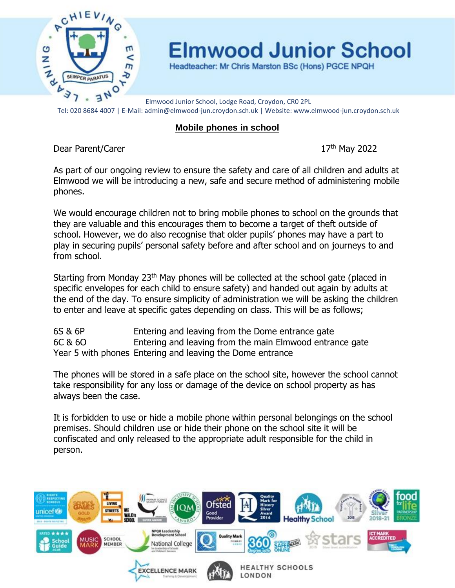

**Elmwood Junior School** 

Headteacher: Mr Chris Marston BSc (Hons) PGCE NPQH

Elmwood Junior School, Lodge Road, Croydon, CR0 2PL Tel: 020 8684 4007 | E-Mail: admin@elmwood-jun.croydon.sch.uk | Website: www.elmwood-jun.croydon.sch.uk

## **Mobile phones in school**

Dear Parent/Carer 2022

As part of our ongoing review to ensure the safety and care of all children and adults at Elmwood we will be introducing a new, safe and secure method of administering mobile phones.

We would encourage children not to bring mobile phones to school on the grounds that they are valuable and this encourages them to become a target of theft outside of school. However, we do also recognise that older pupils' phones may have a part to play in securing pupils' personal safety before and after school and on journeys to and from school.

Starting from Monday 23<sup>th</sup> May phones will be collected at the school gate (placed in specific envelopes for each child to ensure safety) and handed out again by adults at the end of the day. To ensure simplicity of administration we will be asking the children to enter and leave at specific gates depending on class. This will be as follows;

6S & 6P Entering and leaving from the Dome entrance gate 6C & 6O Entering and leaving from the main Elmwood entrance gate Year 5 with phones Entering and leaving the Dome entrance

The phones will be stored in a safe place on the school site, however the school cannot take responsibility for any loss or damage of the device on school property as has always been the case.

It is forbidden to use or hide a mobile phone within personal belongings on the school premises. Should children use or hide their phone on the school site it will be confiscated and only released to the appropriate adult responsible for the child in person.